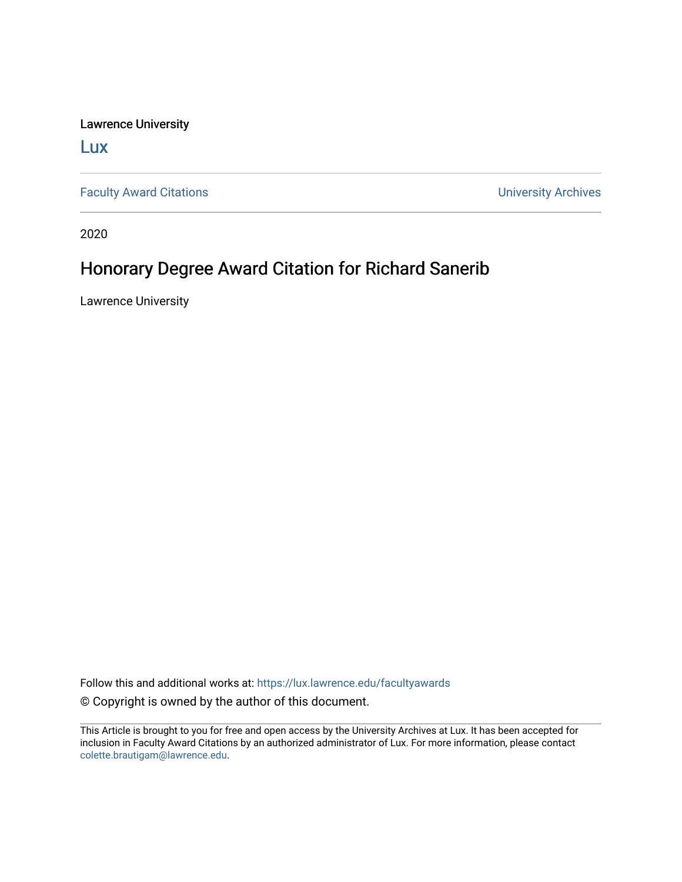Lawrence University

[Lux](https://lux.lawrence.edu/)

[Faculty Award Citations](https://lux.lawrence.edu/facultyawards) **Example 2018** 2019 12:30 Number 2019 12:30 Number 2019 12:30 Number 2019 12:30 Number 2019 12:30 Number 2019 12:30 Number 2019 12:30 Number 2019 12:30 Number 2019 12:30 Number 2019 12:30 Number 201

2020

## Honorary Degree Award Citation for Richard Sanerib

Lawrence University

Follow this and additional works at: [https://lux.lawrence.edu/facultyawards](https://lux.lawrence.edu/facultyawards?utm_source=lux.lawrence.edu%2Ffacultyawards%2F218&utm_medium=PDF&utm_campaign=PDFCoverPages)  © Copyright is owned by the author of this document.

This Article is brought to you for free and open access by the University Archives at Lux. It has been accepted for inclusion in Faculty Award Citations by an authorized administrator of Lux. For more information, please contact [colette.brautigam@lawrence.edu.](mailto:colette.brautigam@lawrence.edu)